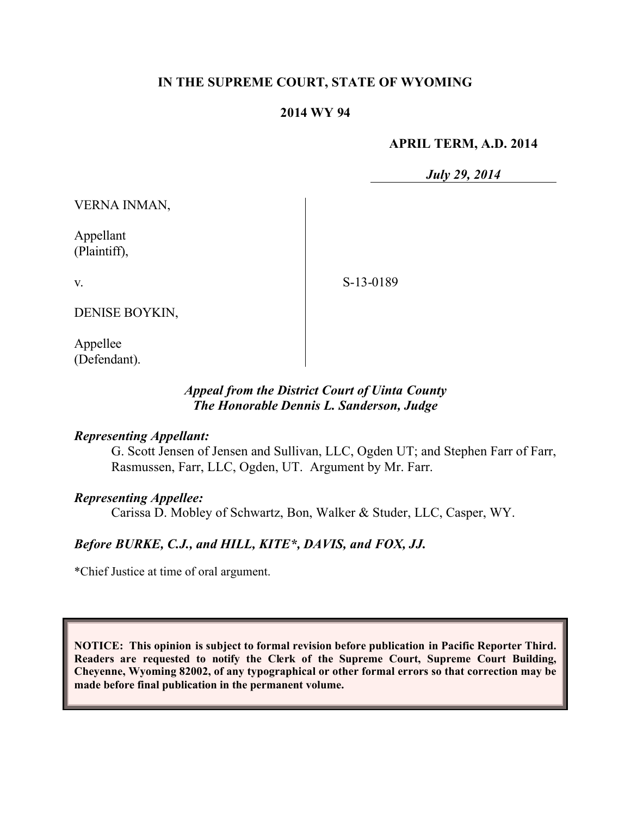## **IN THE SUPREME COURT, STATE OF WYOMING**

### **2014 WY 94**

#### **APRIL TERM, A.D. 2014**

*July 29, 2014*

VERNA INMAN,

Appellant (Plaintiff),

v.

S-13-0189

DENISE BOYKIN,

Appellee (Defendant).

## *Appeal from the District Court of Uinta County The Honorable Dennis L. Sanderson, Judge*

#### *Representing Appellant:*

G. Scott Jensen of Jensen and Sullivan, LLC, Ogden UT; and Stephen Farr of Farr, Rasmussen, Farr, LLC, Ogden, UT. Argument by Mr. Farr.

#### *Representing Appellee:*

Carissa D. Mobley of Schwartz, Bon, Walker & Studer, LLC, Casper, WY.

# *Before BURKE, C.J., and HILL, KITE\*, DAVIS, and FOX, JJ.*

\*Chief Justice at time of oral argument.

**NOTICE: This opinion is subject to formal revision before publication in Pacific Reporter Third. Readers are requested to notify the Clerk of the Supreme Court, Supreme Court Building, Cheyenne, Wyoming 82002, of any typographical or other formal errors so that correction may be made before final publication in the permanent volume.**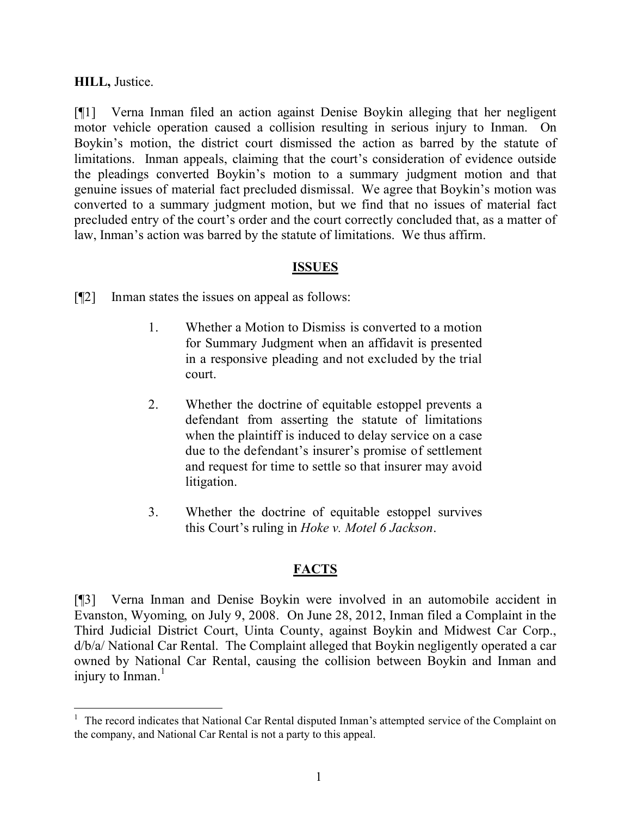## **HILL,** Justice.

[¶1] Verna Inman filed an action against Denise Boykin alleging that her negligent motor vehicle operation caused a collision resulting in serious injury to Inman. On Boykin's motion, the district court dismissed the action as barred by the statute of limitations. Inman appeals, claiming that the court's consideration of evidence outside the pleadings converted Boykin's motion to a summary judgment motion and that genuine issues of material fact precluded dismissal. We agree that Boykin's motion was converted to a summary judgment motion, but we find that no issues of material fact precluded entry of the court's order and the court correctly concluded that, as a matter of law, Inman's action was barred by the statute of limitations. We thus affirm.

# **ISSUES**

[¶2] Inman states the issues on appeal as follows:

- 1. Whether a Motion to Dismiss is converted to a motion for Summary Judgment when an affidavit is presented in a responsive pleading and not excluded by the trial court.
- 2. Whether the doctrine of equitable estoppel prevents a defendant from asserting the statute of limitations when the plaintiff is induced to delay service on a case due to the defendant's insurer's promise of settlement and request for time to settle so that insurer may avoid litigation.
- 3. Whether the doctrine of equitable estoppel survives this Court's ruling in *Hoke v. Motel 6 Jackson*.

# **FACTS**

[¶3] Verna Inman and Denise Boykin were involved in an automobile accident in Evanston, Wyoming, on July 9, 2008. On June 28, 2012, Inman filed a Complaint in the Third Judicial District Court, Uinta County, against Boykin and Midwest Car Corp., d/b/a/ National Car Rental. The Complaint alleged that Boykin negligently operated a car owned by National Car Rental, causing the collision between Boykin and Inman and injury to Inman.<sup>1</sup>

<sup>&</sup>lt;sup>1</sup> The record indicates that National Car Rental disputed Inman's attempted service of the Complaint on the company, and National Car Rental is not a party to this appeal.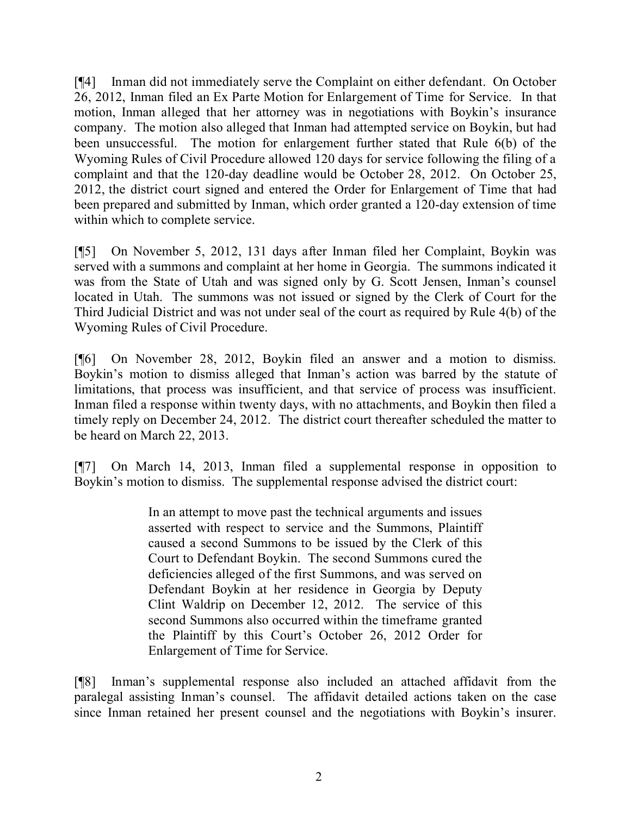[¶4] Inman did not immediately serve the Complaint on either defendant. On October 26, 2012, Inman filed an Ex Parte Motion for Enlargement of Time for Service. In that motion, Inman alleged that her attorney was in negotiations with Boykin's insurance company. The motion also alleged that Inman had attempted service on Boykin, but had been unsuccessful. The motion for enlargement further stated that Rule 6(b) of the Wyoming Rules of Civil Procedure allowed 120 days for service following the filing of a complaint and that the 120-day deadline would be October 28, 2012. On October 25, 2012, the district court signed and entered the Order for Enlargement of Time that had been prepared and submitted by Inman, which order granted a 120-day extension of time within which to complete service.

[¶5] On November 5, 2012, 131 days after Inman filed her Complaint, Boykin was served with a summons and complaint at her home in Georgia. The summons indicated it was from the State of Utah and was signed only by G. Scott Jensen, Inman's counsel located in Utah. The summons was not issued or signed by the Clerk of Court for the Third Judicial District and was not under seal of the court as required by Rule 4(b) of the Wyoming Rules of Civil Procedure.

[¶6] On November 28, 2012, Boykin filed an answer and a motion to dismiss. Boykin's motion to dismiss alleged that Inman's action was barred by the statute of limitations, that process was insufficient, and that service of process was insufficient. Inman filed a response within twenty days, with no attachments, and Boykin then filed a timely reply on December 24, 2012. The district court thereafter scheduled the matter to be heard on March 22, 2013.

[¶7] On March 14, 2013, Inman filed a supplemental response in opposition to Boykin's motion to dismiss. The supplemental response advised the district court:

> In an attempt to move past the technical arguments and issues asserted with respect to service and the Summons, Plaintiff caused a second Summons to be issued by the Clerk of this Court to Defendant Boykin. The second Summons cured the deficiencies alleged of the first Summons, and was served on Defendant Boykin at her residence in Georgia by Deputy Clint Waldrip on December 12, 2012. The service of this second Summons also occurred within the timeframe granted the Plaintiff by this Court's October 26, 2012 Order for Enlargement of Time for Service.

[¶8] Inman's supplemental response also included an attached affidavit from the paralegal assisting Inman's counsel. The affidavit detailed actions taken on the case since Inman retained her present counsel and the negotiations with Boykin's insurer.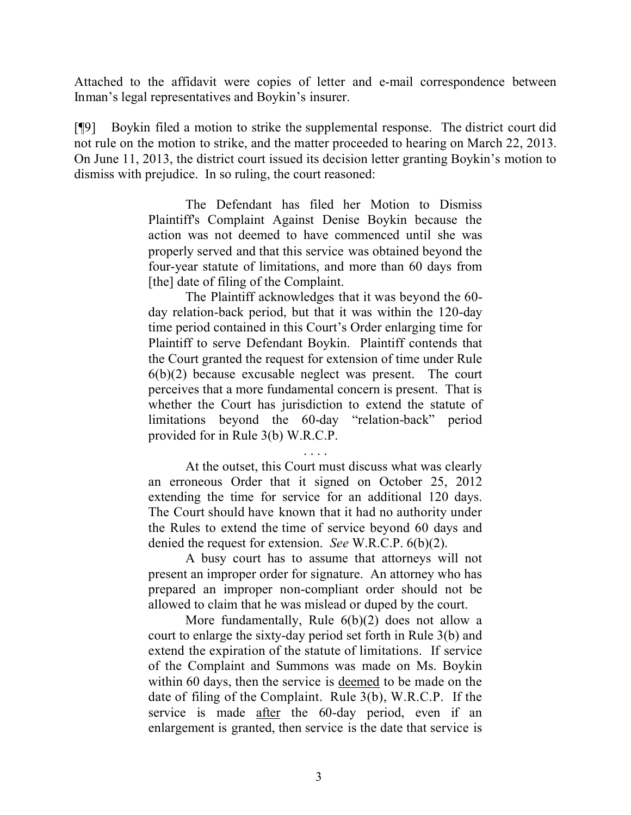Attached to the affidavit were copies of letter and e-mail correspondence between Inman's legal representatives and Boykin's insurer.

[¶9] Boykin filed a motion to strike the supplemental response. The district court did not rule on the motion to strike, and the matter proceeded to hearing on March 22, 2013. On June 11, 2013, the district court issued its decision letter granting Boykin's motion to dismiss with prejudice. In so ruling, the court reasoned:

> The Defendant has filed her Motion to Dismiss Plaintiff's Complaint Against Denise Boykin because the action was not deemed to have commenced until she was properly served and that this service was obtained beyond the four-year statute of limitations, and more than 60 days from [the] date of filing of the Complaint.

> The Plaintiff acknowledges that it was beyond the 60 day relation-back period, but that it was within the 120-day time period contained in this Court's Order enlarging time for Plaintiff to serve Defendant Boykin. Plaintiff contends that the Court granted the request for extension of time under Rule  $6(b)(2)$  because excusable neglect was present. The court perceives that a more fundamental concern is present. That is whether the Court has jurisdiction to extend the statute of limitations beyond the 60-day "relation-back" period provided for in Rule 3(b) W.R.C.P.

> . . . . At the outset, this Court must discuss what was clearly an erroneous Order that it signed on October 25, 2012 extending the time for service for an additional 120 days. The Court should have known that it had no authority under the Rules to extend the time of service beyond 60 days and denied the request for extension. *See* W.R.C.P. 6(b)(2).

> A busy court has to assume that attorneys will not present an improper order for signature. An attorney who has prepared an improper non-compliant order should not be allowed to claim that he was mislead or duped by the court.

> More fundamentally, Rule 6(b)(2) does not allow a court to enlarge the sixty-day period set forth in Rule 3(b) and extend the expiration of the statute of limitations. If service of the Complaint and Summons was made on Ms. Boykin within 60 days, then the service is deemed to be made on the date of filing of the Complaint. Rule 3(b), W.R.C.P. If the service is made after the 60-day period, even if an enlargement is granted, then service is the date that service is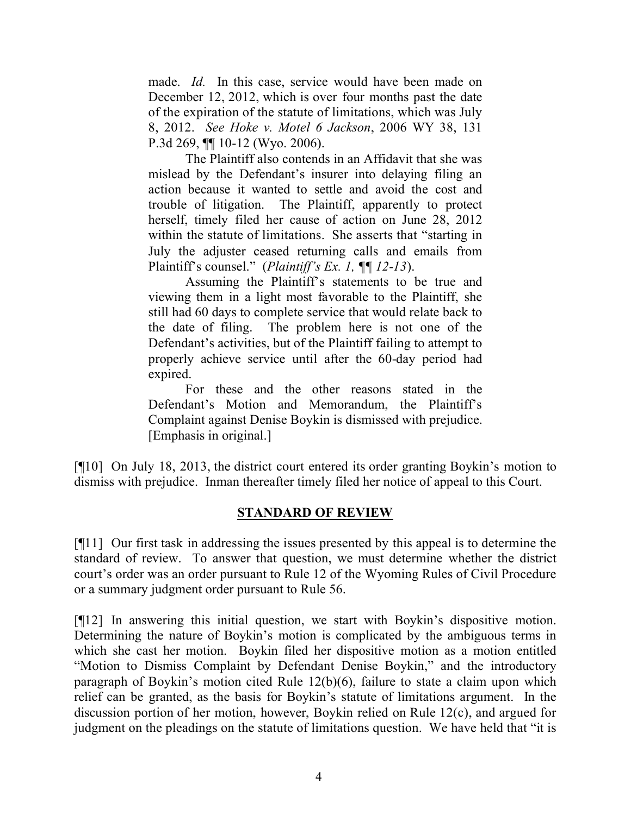made. *Id.* In this case, service would have been made on December 12, 2012, which is over four months past the date of the expiration of the statute of limitations, which was July 8, 2012. *See Hoke v. Motel 6 Jackson*, 2006 WY 38, 131 P.3d 269, ¶¶ 10-12 (Wyo. 2006).

The Plaintiff also contends in an Affidavit that she was mislead by the Defendant's insurer into delaying filing an action because it wanted to settle and avoid the cost and trouble of litigation. The Plaintiff, apparently to protect herself, timely filed her cause of action on June 28, 2012 within the statute of limitations. She asserts that "starting in July the adjuster ceased returning calls and emails from Plaintiff's counsel." (*Plaintiff's Ex. 1, ¶¶ 12-13*).

Assuming the Plaintiff's statements to be true and viewing them in a light most favorable to the Plaintiff, she still had 60 days to complete service that would relate back to the date of filing. The problem here is not one of the Defendant's activities, but of the Plaintiff failing to attempt to properly achieve service until after the 60-day period had expired.

For these and the other reasons stated in the Defendant's Motion and Memorandum, the Plaintiff's Complaint against Denise Boykin is dismissed with prejudice. [Emphasis in original.]

[¶10] On July 18, 2013, the district court entered its order granting Boykin's motion to dismiss with prejudice. Inman thereafter timely filed her notice of appeal to this Court.

# **STANDARD OF REVIEW**

[¶11] Our first task in addressing the issues presented by this appeal is to determine the standard of review. To answer that question, we must determine whether the district court's order was an order pursuant to Rule 12 of the Wyoming Rules of Civil Procedure or a summary judgment order pursuant to Rule 56.

[¶12] In answering this initial question, we start with Boykin's dispositive motion. Determining the nature of Boykin's motion is complicated by the ambiguous terms in which she cast her motion. Boykin filed her dispositive motion as a motion entitled "Motion to Dismiss Complaint by Defendant Denise Boykin," and the introductory paragraph of Boykin's motion cited Rule 12(b)(6), failure to state a claim upon which relief can be granted, as the basis for Boykin's statute of limitations argument. In the discussion portion of her motion, however, Boykin relied on Rule 12(c), and argued for judgment on the pleadings on the statute of limitations question. We have held that "it is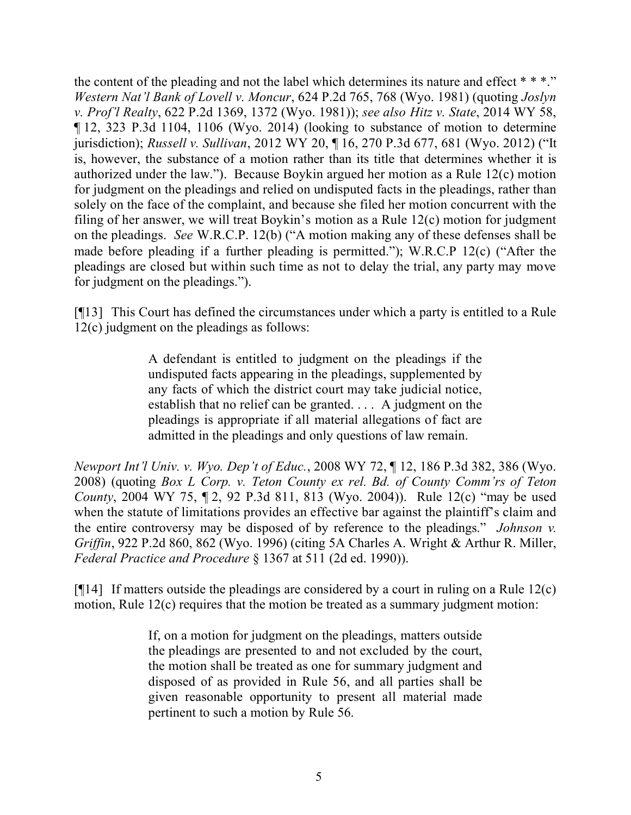the content of the pleading and not the label which determines its nature and effect  $***$ ." *Western Nat'l Bank of Lovell v. Moncur*, 624 P.2d 765, 768 (Wyo. 1981) (quoting *Joslyn v. Prof'l Realty*, 622 P.2d 1369, 1372 (Wyo. 1981)); *see also Hitz v. State*, 2014 WY 58, ¶ 12, 323 P.3d 1104, 1106 (Wyo. 2014) (looking to substance of motion to determine jurisdiction); *Russell v. Sullivan*, 2012 WY 20, ¶ 16, 270 P.3d 677, 681 (Wyo. 2012) ("It is, however, the substance of a motion rather than its title that determines whether it is authorized under the law."). Because Boykin argued her motion as a Rule 12(c) motion for judgment on the pleadings and relied on undisputed facts in the pleadings, rather than solely on the face of the complaint, and because she filed her motion concurrent with the filing of her answer, we will treat Boykin's motion as a Rule 12(c) motion for judgment on the pleadings. *See* W.R.C.P. 12(b) ("A motion making any of these defenses shall be made before pleading if a further pleading is permitted."); W.R.C.P 12(c) ("After the pleadings are closed but within such time as not to delay the trial, any party may move for judgment on the pleadings.").

[¶13] This Court has defined the circumstances under which a party is entitled to a Rule 12(c) judgment on the pleadings as follows:

> A defendant is entitled to judgment on the pleadings if the undisputed facts appearing in the pleadings, supplemented by any facts of which the district court may take judicial notice, establish that no relief can be granted. . . . A judgment on the pleadings is appropriate if all material allegations of fact are admitted in the pleadings and only questions of law remain.

*Newport Int'l Univ. v. Wyo. Dep't of Educ.*, 2008 WY 72, ¶ 12, 186 P.3d 382, 386 (Wyo. 2008) (quoting *Box L Corp. v. Teton County ex rel. Bd. of County Comm'rs of Teton County*, 2004 WY 75, ¶ 2, 92 P.3d 811, 813 (Wyo. 2004)). Rule 12(c) "may be used when the statute of limitations provides an effective bar against the plaintiff's claim and the entire controversy may be disposed of by reference to the pleadings." *Johnson v. Griffin*, 922 P.2d 860, 862 (Wyo. 1996) (citing 5A Charles A. Wright & Arthur R. Miller, *Federal Practice and Procedure* § 1367 at 511 (2d ed. 1990)).

[ $[14]$ ] If matters outside the pleadings are considered by a court in ruling on a Rule 12(c) motion, Rule 12(c) requires that the motion be treated as a summary judgment motion:

> If, on a motion for judgment on the pleadings, matters outside the pleadings are presented to and not excluded by the court, the motion shall be treated as one for summary judgment and disposed of as provided in Rule 56, and all parties shall be given reasonable opportunity to present all material made pertinent to such a motion by Rule 56.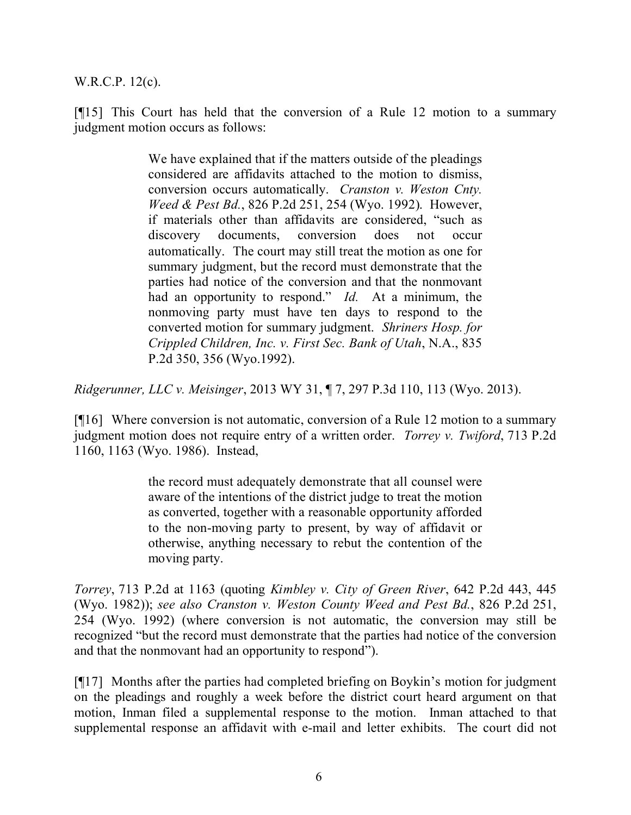W.R.C.P. 12(c).

[¶15] This Court has held that the conversion of a Rule 12 motion to a summary judgment motion occurs as follows:

> We have explained that if the matters outside of the pleadings considered are affidavits attached to the motion to dismiss, conversion occurs automatically. *Cranston v. Weston Cnty. Weed & Pest Bd.*, 826 P.2d 251, 254 (Wyo. 1992). However, if materials other than affidavits are considered, "such as discovery documents, conversion does not occur automatically. The court may still treat the motion as one for summary judgment, but the record must demonstrate that the parties had notice of the conversion and that the nonmovant had an opportunity to respond." *Id.* At a minimum, the nonmoving party must have ten days to respond to the converted motion for summary judgment. *Shriners Hosp. for Crippled Children, Inc. v. First Sec. Bank of Utah*, N.A., 835 P.2d 350, 356 (Wyo.1992).

*Ridgerunner, LLC v. Meisinger*, 2013 WY 31, ¶ 7, 297 P.3d 110, 113 (Wyo. 2013).

[¶16] Where conversion is not automatic, conversion of a Rule 12 motion to a summary judgment motion does not require entry of a written order. *Torrey v. Twiford*, 713 P.2d 1160, 1163 (Wyo. 1986). Instead,

> the record must adequately demonstrate that all counsel were aware of the intentions of the district judge to treat the motion as converted, together with a reasonable opportunity afforded to the non-moving party to present, by way of affidavit or otherwise, anything necessary to rebut the contention of the moving party.

*Torrey*, 713 P.2d at 1163 (quoting *Kimbley v. City of Green River*, 642 P.2d 443, 445 (Wyo. 1982)); *see also Cranston v. Weston County Weed and Pest Bd.*, 826 P.2d 251, 254 (Wyo. 1992) (where conversion is not automatic, the conversion may still be recognized "but the record must demonstrate that the parties had notice of the conversion and that the nonmovant had an opportunity to respond").

[¶17] Months after the parties had completed briefing on Boykin's motion for judgment on the pleadings and roughly a week before the district court heard argument on that motion, Inman filed a supplemental response to the motion. Inman attached to that supplemental response an affidavit with e-mail and letter exhibits. The court did not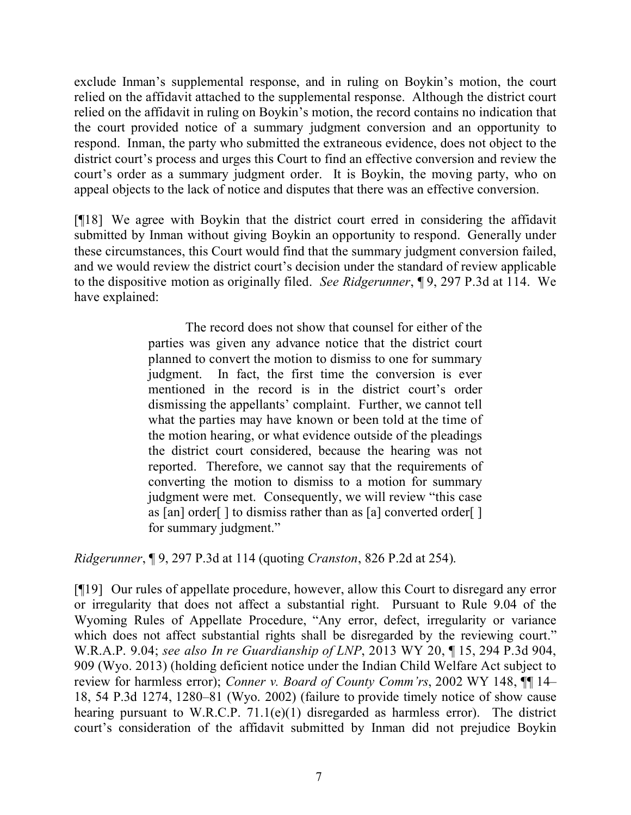exclude Inman's supplemental response, and in ruling on Boykin's motion, the court relied on the affidavit attached to the supplemental response. Although the district court relied on the affidavit in ruling on Boykin's motion, the record contains no indication that the court provided notice of a summary judgment conversion and an opportunity to respond. Inman, the party who submitted the extraneous evidence, does not object to the district court's process and urges this Court to find an effective conversion and review the court's order as a summary judgment order. It is Boykin, the moving party, who on appeal objects to the lack of notice and disputes that there was an effective conversion.

[¶18] We agree with Boykin that the district court erred in considering the affidavit submitted by Inman without giving Boykin an opportunity to respond. Generally under these circumstances, this Court would find that the summary judgment conversion failed, and we would review the district court's decision under the standard of review applicable to the dispositive motion as originally filed. *See Ridgerunner*, ¶ 9, 297 P.3d at 114. We have explained:

> The record does not show that counsel for either of the parties was given any advance notice that the district court planned to convert the motion to dismiss to one for summary judgment. In fact, the first time the conversion is ever mentioned in the record is in the district court's order dismissing the appellants' complaint. Further, we cannot tell what the parties may have known or been told at the time of the motion hearing, or what evidence outside of the pleadings the district court considered, because the hearing was not reported. Therefore, we cannot say that the requirements of converting the motion to dismiss to a motion for summary judgment were met. Consequently, we will review "this case as [an] order[ ] to dismiss rather than as [a] converted order[ ] for summary judgment."

*Ridgerunner*, ¶ 9, 297 P.3d at 114 (quoting *Cranston*, 826 P.2d at 254).

[¶19] Our rules of appellate procedure, however, allow this Court to disregard any error or irregularity that does not affect a substantial right. Pursuant to Rule 9.04 of the Wyoming Rules of Appellate Procedure, "Any error, defect, irregularity or variance which does not affect substantial rights shall be disregarded by the reviewing court." W.R.A.P. 9.04; *see also In re Guardianship of LNP*, 2013 WY 20, ¶ 15, 294 P.3d 904, 909 (Wyo. 2013) (holding deficient notice under the Indian Child Welfare Act subject to review for harmless error); *Conner v. Board of County Comm'rs*, 2002 WY 148, ¶¶ 14– 18, 54 P.3d 1274, 1280–81 (Wyo. 2002) (failure to provide timely notice of show cause hearing pursuant to W.R.C.P. 71.1(e)(1) disregarded as harmless error). The district court's consideration of the affidavit submitted by Inman did not prejudice Boykin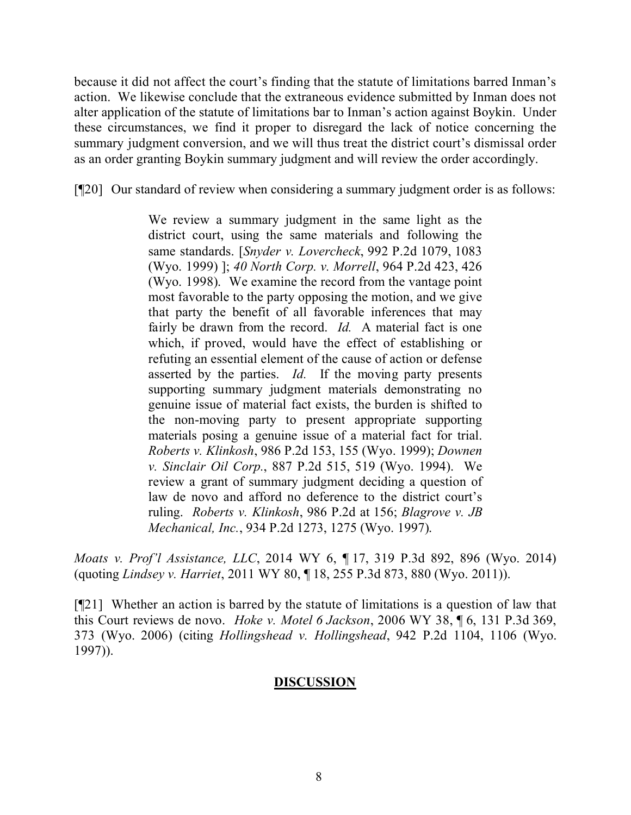because it did not affect the court's finding that the statute of limitations barred Inman's action. We likewise conclude that the extraneous evidence submitted by Inman does not alter application of the statute of limitations bar to Inman's action against Boykin. Under these circumstances, we find it proper to disregard the lack of notice concerning the summary judgment conversion, and we will thus treat the district court's dismissal order as an order granting Boykin summary judgment and will review the order accordingly.

[¶20] Our standard of review when considering a summary judgment order is as follows:

We review a summary judgment in the same light as the district court, using the same materials and following the same standards. [*Snyder v. Lovercheck*, 992 P.2d 1079, 1083 (Wyo. 1999) ]; *40 North Corp. v. Morrell*, 964 P.2d 423, 426 (Wyo. 1998). We examine the record from the vantage point most favorable to the party opposing the motion, and we give that party the benefit of all favorable inferences that may fairly be drawn from the record. *Id.* A material fact is one which, if proved, would have the effect of establishing or refuting an essential element of the cause of action or defense asserted by the parties. *Id.* If the moving party presents supporting summary judgment materials demonstrating no genuine issue of material fact exists, the burden is shifted to the non-moving party to present appropriate supporting materials posing a genuine issue of a material fact for trial. *Roberts v. Klinkosh*, 986 P.2d 153, 155 (Wyo. 1999); *Downen v. Sinclair Oil Corp.*, 887 P.2d 515, 519 (Wyo. 1994). We review a grant of summary judgment deciding a question of law de novo and afford no deference to the district court's ruling. *Roberts v. Klinkosh*, 986 P.2d at 156; *Blagrove v. JB Mechanical, Inc.*, 934 P.2d 1273, 1275 (Wyo. 1997).

*Moats v. Prof'l Assistance, LLC*, 2014 WY 6, ¶ 17, 319 P.3d 892, 896 (Wyo. 2014) (quoting *Lindsey v. Harriet*, 2011 WY 80, ¶ 18, 255 P.3d 873, 880 (Wyo. 2011)).

[¶21] Whether an action is barred by the statute of limitations is a question of law that this Court reviews de novo. *Hoke v. Motel 6 Jackson*, 2006 WY 38, ¶ 6, 131 P.3d 369, 373 (Wyo. 2006) (citing *Hollingshead v. Hollingshead*, 942 P.2d 1104, 1106 (Wyo. 1997)).

# **DISCUSSION**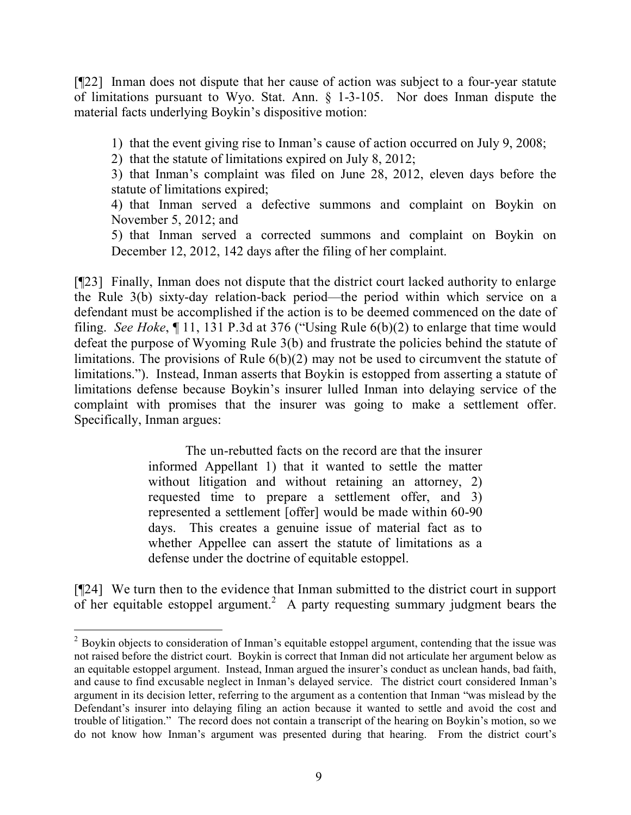[¶22] Inman does not dispute that her cause of action was subject to a four-year statute of limitations pursuant to Wyo. Stat. Ann. § 1-3-105. Nor does Inman dispute the material facts underlying Boykin's dispositive motion:

1) that the event giving rise to Inman's cause of action occurred on July 9, 2008;

2) that the statute of limitations expired on July 8, 2012;

3) that Inman's complaint was filed on June 28, 2012, eleven days before the statute of limitations expired;

4) that Inman served a defective summons and complaint on Boykin on November 5, 2012; and

5) that Inman served a corrected summons and complaint on Boykin on December 12, 2012, 142 days after the filing of her complaint.

[¶23] Finally, Inman does not dispute that the district court lacked authority to enlarge the Rule 3(b) sixty-day relation-back period—the period within which service on a defendant must be accomplished if the action is to be deemed commenced on the date of filing. *See Hoke*, ¶ 11, 131 P.3d at 376 ("Using Rule 6(b)(2) to enlarge that time would defeat the purpose of Wyoming Rule 3(b) and frustrate the policies behind the statute of limitations. The provisions of Rule 6(b)(2) may not be used to circumvent the statute of limitations."). Instead, Inman asserts that Boykin is estopped from asserting a statute of limitations defense because Boykin's insurer lulled Inman into delaying service of the complaint with promises that the insurer was going to make a settlement offer. Specifically, Inman argues:

> The un-rebutted facts on the record are that the insurer informed Appellant 1) that it wanted to settle the matter without litigation and without retaining an attorney, 2) requested time to prepare a settlement offer, and 3) represented a settlement [offer] would be made within 60-90 days. This creates a genuine issue of material fact as to whether Appellee can assert the statute of limitations as a defense under the doctrine of equitable estoppel.

[¶24] We turn then to the evidence that Inman submitted to the district court in support of her equitable estoppel argument.<sup>2</sup> A party requesting summary judgment bears the

<sup>&</sup>lt;sup>2</sup> Boykin objects to consideration of Inman's equitable estoppel argument, contending that the issue was not raised before the district court. Boykin is correct that Inman did not articulate her argument below as an equitable estoppel argument. Instead, Inman argued the insurer's conduct as unclean hands, bad faith, and cause to find excusable neglect in Inman's delayed service. The district court considered Inman's argument in its decision letter, referring to the argument as a contention that Inman "was mislead by the Defendant's insurer into delaying filing an action because it wanted to settle and avoid the cost and trouble of litigation." The record does not contain a transcript of the hearing on Boykin's motion, so we do not know how Inman's argument was presented during that hearing. From the district court's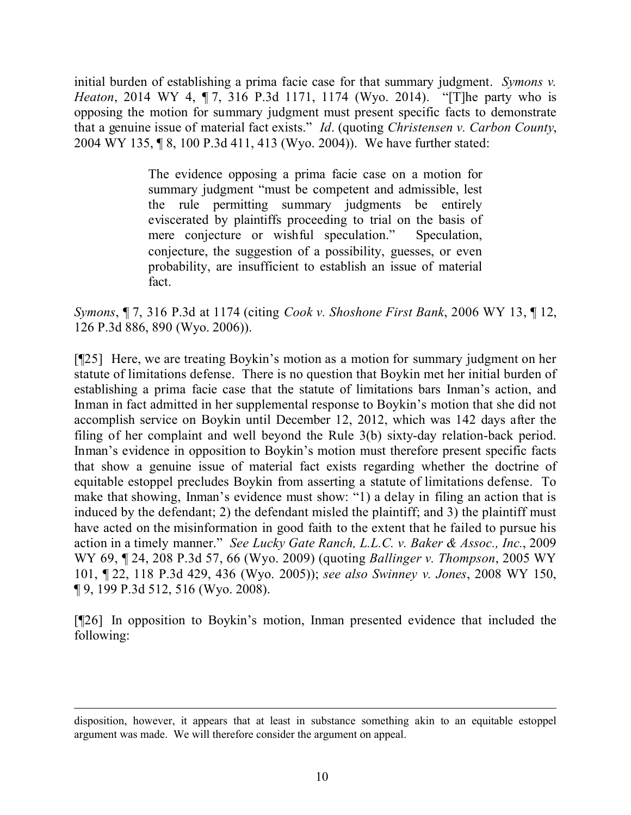initial burden of establishing a prima facie case for that summary judgment. *Symons v. Heaton*, 2014 WY 4, 17, 316 P.3d 1171, 1174 (Wyo. 2014). "[T]he party who is opposing the motion for summary judgment must present specific facts to demonstrate that a genuine issue of material fact exists." *Id*. (quoting *Christensen v. Carbon County*, 2004 WY 135, ¶ 8, 100 P.3d 411, 413 (Wyo. 2004)). We have further stated:

> The evidence opposing a prima facie case on a motion for summary judgment "must be competent and admissible, lest the rule permitting summary judgments be entirely eviscerated by plaintiffs proceeding to trial on the basis of mere conjecture or wishful speculation." Speculation, conjecture, the suggestion of a possibility, guesses, or even probability, are insufficient to establish an issue of material fact.

*Symons*, ¶ 7, 316 P.3d at 1174 (citing *Cook v. Shoshone First Bank*, 2006 WY 13, ¶ 12, 126 P.3d 886, 890 (Wyo. 2006)).

[¶25] Here, we are treating Boykin's motion as a motion for summary judgment on her statute of limitations defense. There is no question that Boykin met her initial burden of establishing a prima facie case that the statute of limitations bars Inman's action, and Inman in fact admitted in her supplemental response to Boykin's motion that she did not accomplish service on Boykin until December 12, 2012, which was 142 days after the filing of her complaint and well beyond the Rule 3(b) sixty-day relation-back period. Inman's evidence in opposition to Boykin's motion must therefore present specific facts that show a genuine issue of material fact exists regarding whether the doctrine of equitable estoppel precludes Boykin from asserting a statute of limitations defense. To make that showing, Inman's evidence must show: "1) a delay in filing an action that is induced by the defendant; 2) the defendant misled the plaintiff; and 3) the plaintiff must have acted on the misinformation in good faith to the extent that he failed to pursue his action in a timely manner." *See Lucky Gate Ranch, L.L.C. v. Baker & Assoc., Inc.*, 2009 WY 69, ¶ 24, 208 P.3d 57, 66 (Wyo. 2009) (quoting *Ballinger v. Thompson*, 2005 WY 101, ¶ 22, 118 P.3d 429, 436 (Wyo. 2005)); *see also Swinney v. Jones*, 2008 WY 150, ¶ 9, 199 P.3d 512, 516 (Wyo. 2008).

[¶26] In opposition to Boykin's motion, Inman presented evidence that included the following:

disposition, however, it appears that at least in substance something akin to an equitable estoppel argument was made. We will therefore consider the argument on appeal.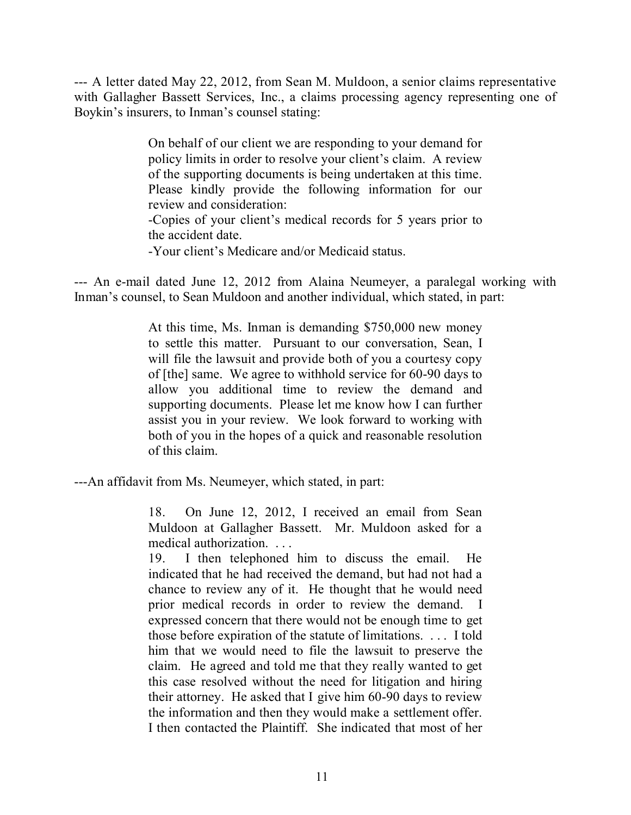--- A letter dated May 22, 2012, from Sean M. Muldoon, a senior claims representative with Gallagher Bassett Services, Inc., a claims processing agency representing one of Boykin's insurers, to Inman's counsel stating:

> On behalf of our client we are responding to your demand for policy limits in order to resolve your client's claim. A review of the supporting documents is being undertaken at this time. Please kindly provide the following information for our review and consideration:

> -Copies of your client's medical records for 5 years prior to the accident date.

-Your client's Medicare and/or Medicaid status.

--- An e-mail dated June 12, 2012 from Alaina Neumeyer, a paralegal working with Inman's counsel, to Sean Muldoon and another individual, which stated, in part:

> At this time, Ms. Inman is demanding \$750,000 new money to settle this matter. Pursuant to our conversation, Sean, I will file the lawsuit and provide both of you a courtesy copy of [the] same. We agree to withhold service for 60-90 days to allow you additional time to review the demand and supporting documents. Please let me know how I can further assist you in your review. We look forward to working with both of you in the hopes of a quick and reasonable resolution of this claim.

---An affidavit from Ms. Neumeyer, which stated, in part:

18. On June 12, 2012, I received an email from Sean Muldoon at Gallagher Bassett. Mr. Muldoon asked for a medical authorization. . . .

19. I then telephoned him to discuss the email. He indicated that he had received the demand, but had not had a chance to review any of it. He thought that he would need prior medical records in order to review the demand. I expressed concern that there would not be enough time to get those before expiration of the statute of limitations. . . . I told him that we would need to file the lawsuit to preserve the claim. He agreed and told me that they really wanted to get this case resolved without the need for litigation and hiring their attorney. He asked that I give him 60-90 days to review the information and then they would make a settlement offer. I then contacted the Plaintiff. She indicated that most of her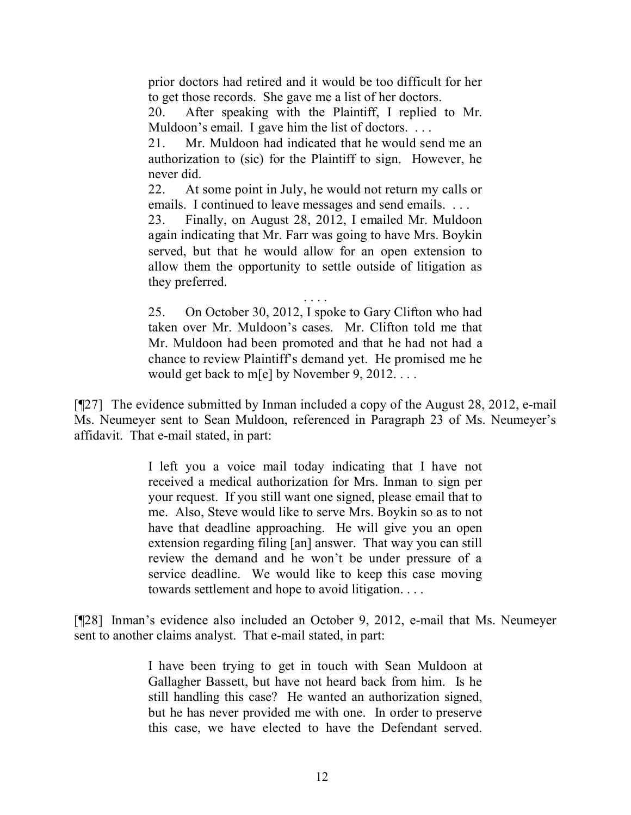prior doctors had retired and it would be too difficult for her to get those records. She gave me a list of her doctors.

20. After speaking with the Plaintiff, I replied to Mr. Muldoon's email. I gave him the list of doctors. ...

21. Mr. Muldoon had indicated that he would send me an authorization to (sic) for the Plaintiff to sign. However, he never did.

22. At some point in July, he would not return my calls or emails. I continued to leave messages and send emails. . . .

23. Finally, on August 28, 2012, I emailed Mr. Muldoon again indicating that Mr. Farr was going to have Mrs. Boykin served, but that he would allow for an open extension to allow them the opportunity to settle outside of litigation as they preferred.

. . . . 25. On October 30, 2012, I spoke to Gary Clifton who had taken over Mr. Muldoon's cases. Mr. Clifton told me that Mr. Muldoon had been promoted and that he had not had a chance to review Plaintiff's demand yet. He promised me he would get back to m[e] by November 9, 2012. . . .

[¶27] The evidence submitted by Inman included a copy of the August 28, 2012, e-mail Ms. Neumeyer sent to Sean Muldoon, referenced in Paragraph 23 of Ms. Neumeyer's affidavit. That e-mail stated, in part:

> I left you a voice mail today indicating that I have not received a medical authorization for Mrs. Inman to sign per your request. If you still want one signed, please email that to me. Also, Steve would like to serve Mrs. Boykin so as to not have that deadline approaching. He will give you an open extension regarding filing [an] answer. That way you can still review the demand and he won't be under pressure of a service deadline. We would like to keep this case moving towards settlement and hope to avoid litigation. . . .

[¶28] Inman's evidence also included an October 9, 2012, e-mail that Ms. Neumeyer sent to another claims analyst. That e-mail stated, in part:

> I have been trying to get in touch with Sean Muldoon at Gallagher Bassett, but have not heard back from him. Is he still handling this case? He wanted an authorization signed, but he has never provided me with one. In order to preserve this case, we have elected to have the Defendant served.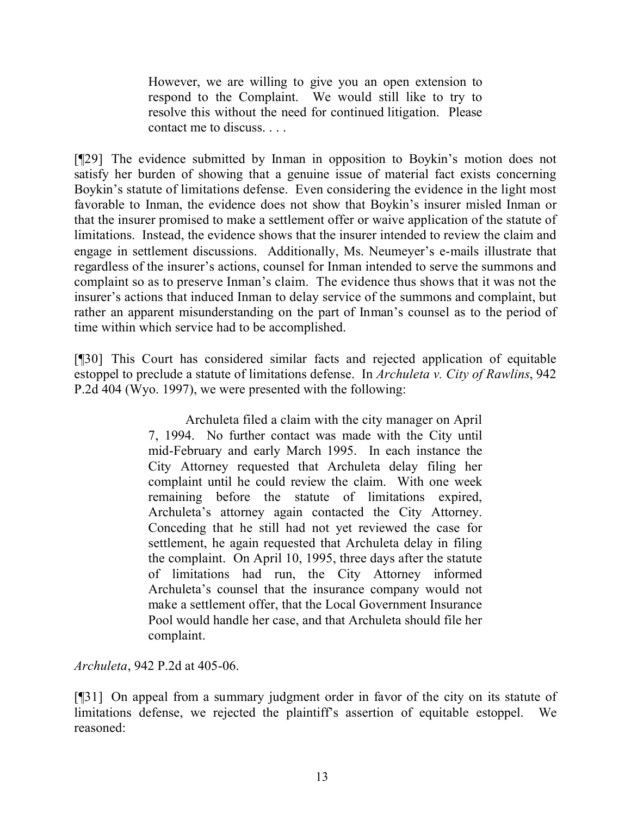However, we are willing to give you an open extension to respond to the Complaint. We would still like to try to resolve this without the need for continued litigation. Please contact me to discuss. . . .

[¶29] The evidence submitted by Inman in opposition to Boykin's motion does not satisfy her burden of showing that a genuine issue of material fact exists concerning Boykin's statute of limitations defense. Even considering the evidence in the light most favorable to Inman, the evidence does not show that Boykin's insurer misled Inman or that the insurer promised to make a settlement offer or waive application of the statute of limitations. Instead, the evidence shows that the insurer intended to review the claim and engage in settlement discussions. Additionally, Ms. Neumeyer's e-mails illustrate that regardless of the insurer's actions, counsel for Inman intended to serve the summons and complaint so as to preserve Inman's claim. The evidence thus shows that it was not the insurer's actions that induced Inman to delay service of the summons and complaint, but rather an apparent misunderstanding on the part of Inman's counsel as to the period of time within which service had to be accomplished.

[¶30] This Court has considered similar facts and rejected application of equitable estoppel to preclude a statute of limitations defense. In *Archuleta v. City of Rawlins*, 942 P.2d 404 (Wyo. 1997), we were presented with the following:

> Archuleta filed a claim with the city manager on April 7, 1994. No further contact was made with the City until mid-February and early March 1995. In each instance the City Attorney requested that Archuleta delay filing her complaint until he could review the claim. With one week remaining before the statute of limitations expired, Archuleta's attorney again contacted the City Attorney. Conceding that he still had not yet reviewed the case for settlement, he again requested that Archuleta delay in filing the complaint. On April 10, 1995, three days after the statute of limitations had run, the City Attorney informed Archuleta's counsel that the insurance company would not make a settlement offer, that the Local Government Insurance Pool would handle her case, and that Archuleta should file her complaint.

*Archuleta*, 942 P.2d at 405-06.

[¶31] On appeal from a summary judgment order in favor of the city on its statute of limitations defense, we rejected the plaintiff's assertion of equitable estoppel. We reasoned: